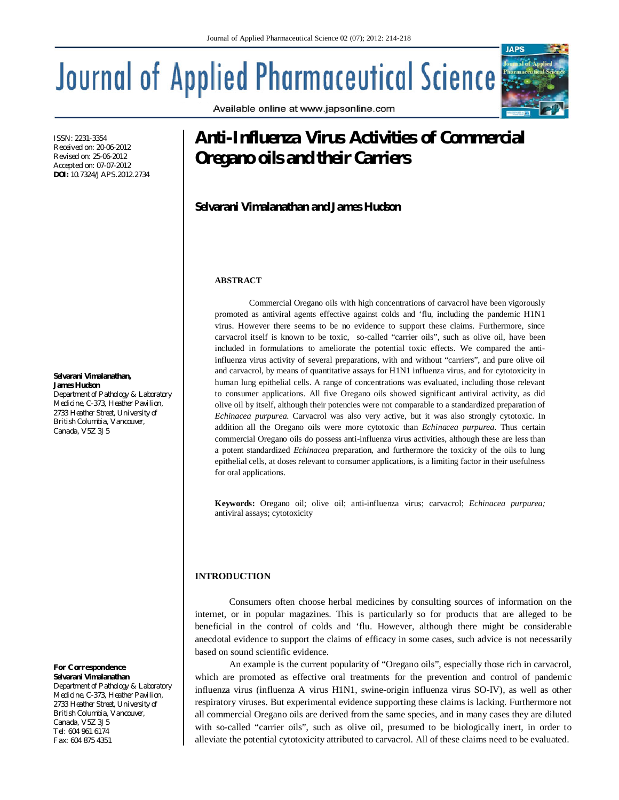Available online at www.japsonline.com

# **Journal of Applied Pharmaceutical Science**

ISSN: 2231-3354 Received on: 20-06-2012 Revised on: 25-06-2012 Accepted on: 07-07-2012 **DOI:** 10.7324/JAPS.2012.2734

#### **Selvarani Vimalanathan, James Hudson**

*Department of Pathology & Laboratory Medicine, C-373, Heather Pavilion, 2733 Heather Street, University of British Columbia, Vancouver, Canada, V5Z 3J5*

#### *For Correspondence* **Selvarani Vimalanathan**

*Department of Pathology & Laboratory Medicine, C-373, Heather Pavilion, 2733 Heather Street, University of British Columbia, Vancouver, Canada, V5Z 3J5 Tel: 604 961 6174 Fax: 604 875 4351*

# **Anti-Influenza Virus Activities of Commercial Oregano oils and their Carriers**

# **Selvarani Vimalanathan and James Hudson**

#### **ABSTRACT**

Commercial Oregano oils with high concentrations of carvacrol have been vigorously promoted as antiviral agents effective against colds and 'flu, including the pandemic H1N1 virus. However there seems to be no evidence to support these claims. Furthermore, since carvacrol itself is known to be toxic, so-called "carrier oils", such as olive oil, have been included in formulations to ameliorate the potential toxic effects. We compared the antiinfluenza virus activity of several preparations, with and without "carriers", and pure olive oil and carvacrol, by means of quantitative assays for H1N1 influenza virus, and for cytotoxicity in human lung epithelial cells. A range of concentrations was evaluated, including those relevant to consumer applications. All five Oregano oils showed significant antiviral activity, as did olive oil by itself, although their potencies were not comparable to a standardized preparation of *Echinacea purpurea*. Carvacrol was also very active, but it was also strongly cytotoxic. In addition all the Oregano oils were more cytotoxic than *Echinacea purpurea*. Thus certain commercial Oregano oils do possess anti-influenza virus activities, although these are less than a potent standardized *Echinacea* preparation, and furthermore the toxicity of the oils to lung epithelial cells, at doses relevant to consumer applications, is a limiting factor in their usefulness for oral applications.

**Keywords:** Oregano oil; olive oil; anti-influenza virus; carvacrol; *Echinacea purpurea;*  antiviral assays; cytotoxicity

### **INTRODUCTION**

Consumers often choose herbal medicines by consulting sources of information on the internet, or in popular magazines. This is particularly so for products that are alleged to be beneficial in the control of colds and 'flu. However, although there might be considerable anecdotal evidence to support the claims of efficacy in some cases, such advice is not necessarily based on sound scientific evidence.

An example is the current popularity of "Oregano oils", especially those rich in carvacrol, which are promoted as effective oral treatments for the prevention and control of pandemic influenza virus (influenza A virus H1N1, swine-origin influenza virus SO-IV), as well as other respiratory viruses. But experimental evidence supporting these claims is lacking. Furthermore not all commercial Oregano oils are derived from the same species, and in many cases they are diluted with so-called "carrier oils", such as olive oil, presumed to be biologically inert, in order to alleviate the potential cytotoxicity attributed to carvacrol. All of these claims need to be evaluated.

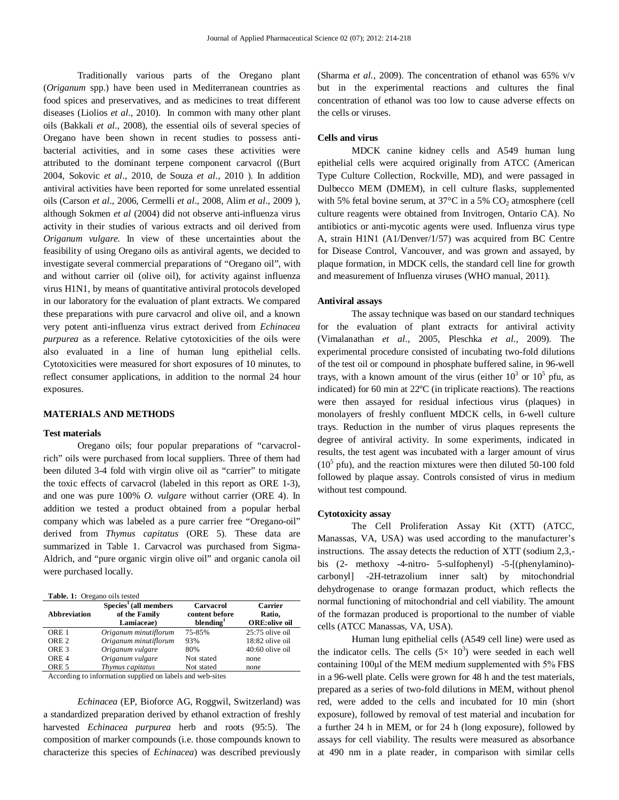Traditionally various parts of the Oregano plant (*Origanum* spp.) have been used in Mediterranean countries as food spices and preservatives, and as medicines to treat different diseases (Liolios *et al*., 2010). In common with many other plant oils (Bakkali *et al*., 2008), the essential oils of several species of Oregano have been shown in recent studies to possess antibacterial activities, and in some cases these activities were attributed to the dominant terpene component carvacrol ((Burt 2004, Sokovic *et al*., 2010, de Souza *et al*., 2010 ). In addition antiviral activities have been reported for some unrelated essential oils (Carson *et al*., 2006, Cermelli *et al*., 2008, Alim *et al*., 2009 ), although Sokmen *et al* (2004) did not observe anti-influenza virus activity in their studies of various extracts and oil derived from *Origanum vulgare.* In view of these uncertainties about the feasibility of using Oregano oils as antiviral agents, we decided to investigate several commercial preparations of "Oregano oil", with and without carrier oil (olive oil), for activity against influenza virus H1N1, by means of quantitative antiviral protocols developed in our laboratory for the evaluation of plant extracts. We compared these preparations with pure carvacrol and olive oil, and a known very potent anti-influenza virus extract derived from *Echinacea purpurea* as a reference. Relative cytotoxicities of the oils were also evaluated in a line of human lung epithelial cells. Cytotoxicities were measured for short exposures of 10 minutes, to reflect consumer applications, in addition to the normal 24 hour exposures.

#### **MATERIALS AND METHODS**

## **Test materials**

Oregano oils; four popular preparations of "carvacrolrich" oils were purchased from local suppliers. Three of them had been diluted 3-4 fold with virgin olive oil as "carrier" to mitigate the toxic effects of carvacrol (labeled in this report as ORE 1-3), and one was pure 100% *O. vulgare* without carrier (ORE 4). In addition we tested a product obtained from a popular herbal company which was labeled as a pure carrier free "Oregano-oil" derived from *Thymus capitatus* (ORE 5). These data are summarized in Table 1. Carvacrol was purchased from Sigma-Aldrich, and "pure organic virgin olive oil" and organic canola oil were purchased locally.

|  | Table. 1: Oregano oils tested |  |
|--|-------------------------------|--|
|--|-------------------------------|--|

| Abbreviation                                                                                                                                                                                                                      | $Species1$ (all members<br>of the Family<br>Lamiaceae) | Carvacrol<br>content before<br>blending <sup>1</sup> | <b>Carrier</b><br>Ratio,<br><b>ORE:</b> olive oil |
|-----------------------------------------------------------------------------------------------------------------------------------------------------------------------------------------------------------------------------------|--------------------------------------------------------|------------------------------------------------------|---------------------------------------------------|
| ORE <sub>1</sub>                                                                                                                                                                                                                  | Origanum minutiflorum                                  | 75-85%                                               | $25:75$ olive oil                                 |
| ORE <sub>2</sub>                                                                                                                                                                                                                  | Origanum minutiflorum                                  | 93%                                                  | 18:82 olive oil                                   |
| ORE <sub>3</sub>                                                                                                                                                                                                                  | Origanum vulgare                                       | 80%                                                  | $40:60$ olive oil                                 |
| ORE <sub>4</sub>                                                                                                                                                                                                                  | Origanum vulgare                                       | Not stated                                           | none                                              |
| ORE <sub>5</sub>                                                                                                                                                                                                                  | Thymus capitatus                                       | Not stated                                           | none                                              |
| $\mathbf{A}$ , and a state of the constant and a state of the state of the state of the state of the state of the state of the state of the state of the state of the state of the state of the state of the state of the state o |                                                        |                                                      |                                                   |

According to information supplied on labels and web-sites

*Echinacea* (EP, Bioforce AG, Roggwil, Switzerland) was a standardized preparation derived by ethanol extraction of freshly harvested *Echinacea purpurea* herb and roots (95:5). The composition of marker compounds (i.e. those compounds known to characterize this species of *Echinacea*) was described previously (Sharma *et al.,* 2009). The concentration of ethanol was 65% v/v but in the experimental reactions and cultures the final concentration of ethanol was too low to cause adverse effects on the cells or viruses.

#### **Cells and virus**

MDCK canine kidney cells and A549 human lung epithelial cells were acquired originally from ATCC (American Type Culture Collection, Rockville, MD), and were passaged in Dulbecco MEM (DMEM), in cell culture flasks, supplemented with 5% fetal bovine serum, at  $37^{\circ}$ C in a 5% CO<sub>2</sub> atmosphere (cell culture reagents were obtained from Invitrogen, Ontario CA). No antibiotics or anti-mycotic agents were used. Influenza virus type A, strain H1N1 (A1/Denver/1/57) was acquired from BC Centre for Disease Control, Vancouver, and was grown and assayed, by plaque formation, in MDCK cells, the standard cell line for growth and measurement of Influenza viruses (WHO manual, 2011).

#### **Antiviral assays**

The assay technique was based on our standard techniques for the evaluation of plant extracts for antiviral activity (Vimalanathan *et al*., 2005, Pleschka *et al.,* 2009). The experimental procedure consisted of incubating two-fold dilutions of the test oil or compound in phosphate buffered saline, in 96-well trays, with a known amount of the virus (either  $10^3$  or  $10^5$  pfu, as indicated) for 60 min at 22ºC (in triplicate reactions). The reactions were then assayed for residual infectious virus (plaques) in monolayers of freshly confluent MDCK cells, in 6-well culture trays. Reduction in the number of virus plaques represents the degree of antiviral activity. In some experiments, indicated in results, the test agent was incubated with a larger amount of virus  $(10<sup>5</sup>$  pfu), and the reaction mixtures were then diluted 50-100 fold followed by plaque assay. Controls consisted of virus in medium without test compound.

#### **Cytotoxicity assay**

The Cell Proliferation Assay Kit (XTT) (ATCC, Manassas, VA, USA) was used according to the manufacturer's instructions. The assay detects the reduction of XTT (sodium 2,3, bis (2- methoxy -4-nitro- 5-sulfophenyl) -5-[(phenylamino) carbonyl] -2H-tetrazolium inner salt) by mitochondrial dehydrogenase to orange formazan product, which reflects the normal functioning of mitochondrial and cell viability. The amount of the formazan produced is proportional to the number of viable cells (ATCC Manassas, VA, USA).

Human lung epithelial cells (A549 cell line) were used as the indicator cells. The cells  $(5 \times 10^3)$  were seeded in each well containing 100μl of the MEM medium supplemented with 5% FBS in a 96-well plate. Cells were grown for 48 h and the test materials, prepared as a series of two-fold dilutions in MEM, without phenol red, were added to the cells and incubated for 10 min (short exposure), followed by removal of test material and incubation for a further 24 h in MEM, or for 24 h (long exposure), followed by assays for cell viability. The results were measured as absorbance at 490 nm in a plate reader, in comparison with similar cells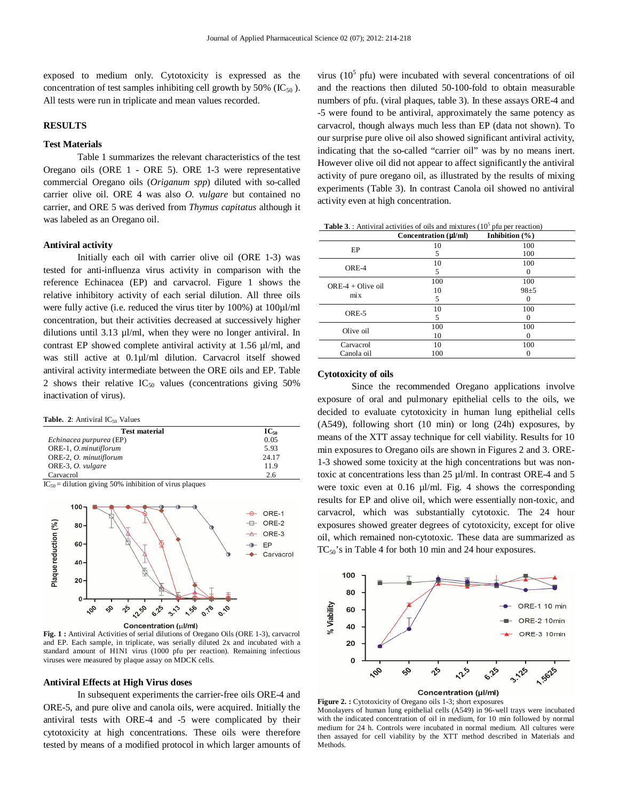exposed to medium only. Cytotoxicity is expressed as the concentration of test samples inhibiting cell growth by 50% ( $IC_{50}$ ). All tests were run in triplicate and mean values recorded.

### **RESULTS**

### **Test Materials**

Table 1 summarizes the relevant characteristics of the test Oregano oils (ORE 1 - ORE 5). ORE 1-3 were representative commercial Oregano oils (*Origanum spp*) diluted with so-called carrier olive oil. ORE 4 was also *O. vulgare* but contained no carrier, and ORE 5 was derived from *Thymus capitatus* although it was labeled as an Oregano oil.

#### **Antiviral activity**

Initially each oil with carrier olive oil (ORE 1-3) was tested for anti-influenza virus activity in comparison with the reference Echinacea (EP) and carvacrol. Figure 1 shows the relative inhibitory activity of each serial dilution. All three oils were fully active (i.e. reduced the virus titer by 100%) at 100µl/ml concentration, but their activities decreased at successively higher dilutions until 3.13 µl/ml, when they were no longer antiviral. In contrast EP showed complete antiviral activity at 1.56 µl/ml, and was still active at 0.1µl/ml dilution. Carvacrol itself showed antiviral activity intermediate between the ORE oils and EP. Table 2 shows their relative  $IC_{50}$  values (concentrations giving 50% inactivation of virus).

**Table. 2:** Antiviral  $IC_{50}$  Values

| <b>Test material</b>    | $IC_{50}$ |
|-------------------------|-----------|
| Echinacea purpurea (EP) | 0.05      |
| ORE-1, O.minutiflorum   | 5.93      |
| ORE-2, O. minutiflorum  | 24 17     |
| ORE-3, O. vulgare       | 11.9      |
| Carvacrol               | 2.6       |

 $IC_{50}$  = dilution giving 50% inhibition of virus plaques



**Fig. 1 :** Antiviral Activities of serial dilutions of Oregano Oils (ORE 1-3), carvacrol and EP. Each sample, in triplicate, was serially diluted 2x and incubated with a standard amount of H1N1 virus (1000 pfu per reaction). Remaining infectious viruses were measured by plaque assay on MDCK cells.

#### **Antiviral Effects at High Virus doses**

In subsequent experiments the carrier-free oils ORE-4 and ORE-5, and pure olive and canola oils, were acquired. Initially the antiviral tests with ORE-4 and -5 were complicated by their cytotoxicity at high concentrations. These oils were therefore tested by means of a modified protocol in which larger amounts of

virus  $(10<sup>5</sup>$  pfu) were incubated with several concentrations of oil and the reactions then diluted 50-100-fold to obtain measurable numbers of pfu. (viral plaques, table 3). In these assays ORE-4 and -5 were found to be antiviral, approximately the same potency as carvacrol, though always much less than EP (data not shown). To our surprise pure olive oil also showed significant antiviral activity, indicating that the so-called "carrier oil" was by no means inert. However olive oil did not appear to affect significantly the antiviral activity of pure oregano oil, as illustrated by the results of mixing experiments (Table 3). In contrast Canola oil showed no antiviral activity even at high concentration.

|                                 | Concentration $(\mu l/ml)$ | Inhibition $(\% )$ |
|---------------------------------|----------------------------|--------------------|
| EP                              | 10                         | 100                |
|                                 | 5                          | 100                |
| ORE-4                           | 10                         | 100                |
|                                 | 5                          |                    |
| $ORE-4 + Olive oil$<br>$\min x$ | 100                        | 100                |
|                                 | 10                         | $98 + 5$           |
|                                 | 5                          |                    |
| ORE-5                           | 10                         | 100                |
|                                 | 5                          |                    |
| Olive oil                       | 100                        | 100                |
|                                 | 10                         |                    |
| Carvacrol                       | 10                         | 100                |
| Canola oil                      | 100                        |                    |

**Table 3.**: Antiviral activities of oils and mixtures  $(10^5)$  pfu per reaction)

#### **Cytotoxicity of oils**

Since the recommended Oregano applications involve exposure of oral and pulmonary epithelial cells to the oils, we decided to evaluate cytotoxicity in human lung epithelial cells (A549), following short (10 min) or long (24h) exposures, by means of the XTT assay technique for cell viability. Results for 10 min exposures to Oregano oils are shown in Figures 2 and 3. ORE-1-3 showed some toxicity at the high concentrations but was nontoxic at concentrations less than 25 µl/ml. In contrast ORE-4 and 5 were toxic even at 0.16 µl/ml. Fig. 4 shows the corresponding results for EP and olive oil, which were essentially non-toxic, and carvacrol, which was substantially cytotoxic. The 24 hour exposures showed greater degrees of cytotoxicity, except for olive oil, which remained non-cytotoxic. These data are summarized as TC<sub>50</sub>'s in Table 4 for both 10 min and 24 hour exposures.



Figure 2. : Cytotoxicity of Oregano oils 1-3; short exposures Monolayers of human lung epithelial cells (A549) in 96-well trays were incubated with the indicated concentration of oil in medium, for 10 min followed by normal medium for 24 h. Controls were incubated in normal medium. All cultures were then assayed for cell viability by the XTT method described in Materials and Methods.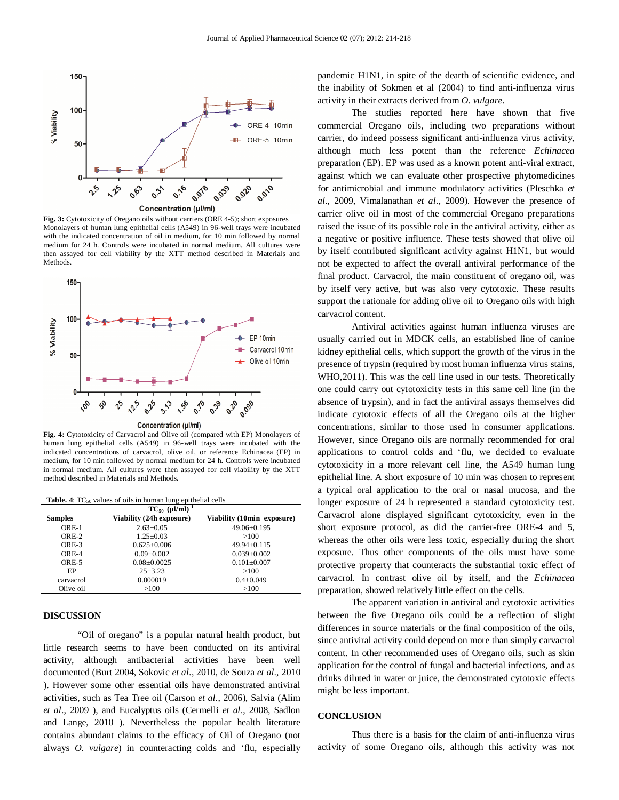

**Fig. 3:** Cytotoxicity of Oregano oils without carriers (ORE 4-5); short exposures Monolayers of human lung epithelial cells (A549) in 96-well trays were incubated with the indicated concentration of oil in medium, for 10 min followed by normal medium for 24 h. Controls were incubated in normal medium. All cultures were then assayed for cell viability by the XTT method described in Materials and Methods.



**Fig. 4:** Cytotoxicity of Carvacrol and Olive oil (compared with EP) Monolayers of human lung epithelial cells (A549) in 96-well trays were incubated with the indicated concentrations of carvacrol, olive oil, or reference Echinacea (EP) in medium, for 10 min followed by normal medium for 24 h. Controls were incubated in normal medium. All cultures were then assayed for cell viability by the XTT method described in Materials and Methods.

Table. 4: TC<sub>50</sub> values of oils in human lung epithelial cells

| $TC_{50}$ (µl/ml) |                          |                            |  |  |
|-------------------|--------------------------|----------------------------|--|--|
| <b>Samples</b>    | Viability (24h exposure) | Viability (10min exposure) |  |  |
| $ORE-1$           | $2.63 \pm 0.05$          | $49.06 \pm 0.195$          |  |  |
| $ORE-2$           | $1.25 \pm 0.03$          | >100                       |  |  |
| $ORE-3$           | $0.625 + 0.006$          | $49.94 + 0.115$            |  |  |
| $ORE-4$           | $0.09 \pm 0.002$         | $0.039 \pm 0.002$          |  |  |
| $ORE-5$           | $0.08 \pm 0.0025$        | $0.101 \pm 0.007$          |  |  |
| EP                | $25 + 3.23$              | >100                       |  |  |
| carvacrol         | 0.000019                 | $0.4 \pm 0.049$            |  |  |
| Olive oil         | >100                     | >100                       |  |  |

### **DISCUSSION**

"Oil of oregano" is a popular natural health product, but little research seems to have been conducted on its antiviral activity, although antibacterial activities have been well documented (Burt 2004, Sokovic *et al*., 2010, de Souza *et al*., 2010 ). However some other essential oils have demonstrated antiviral activities, such as Tea Tree oil (Carson *et al*., 2006), Salvia (Alim *et al*., 2009 ), and Eucalyptus oils (Cermelli *et al*., 2008, Sadlon and Lange, 2010 ). Nevertheless the popular health literature contains abundant claims to the efficacy of Oil of Oregano (not always *O. vulgare*) in counteracting colds and 'flu, especially pandemic H1N1, in spite of the dearth of scientific evidence, and the inability of Sokmen et al (2004) to find anti-influenza virus activity in their extracts derived from *O. vulgare*.

The studies reported here have shown that five commercial Oregano oils, including two preparations without carrier, do indeed possess significant anti-influenza virus activity, although much less potent than the reference *Echinacea* preparation (EP). EP was used as a known potent anti-viral extract, against which we can evaluate other prospective phytomedicines for antimicrobial and immune modulatory activities (Pleschka *et al*., 2009, Vimalanathan *et al*., 2009). However the presence of carrier olive oil in most of the commercial Oregano preparations raised the issue of its possible role in the antiviral activity, either as a negative or positive influence. These tests showed that olive oil by itself contributed significant activity against H1N1, but would not be expected to affect the overall antiviral performance of the final product. Carvacrol, the main constituent of oregano oil, was by itself very active, but was also very cytotoxic. These results support the rationale for adding olive oil to Oregano oils with high carvacrol content.

Antiviral activities against human influenza viruses are usually carried out in MDCK cells, an established line of canine kidney epithelial cells, which support the growth of the virus in the presence of trypsin (required by most human influenza virus stains, WHO,2011). This was the cell line used in our tests. Theoretically one could carry out cytotoxicity tests in this same cell line (in the absence of trypsin), and in fact the antiviral assays themselves did indicate cytotoxic effects of all the Oregano oils at the higher concentrations, similar to those used in consumer applications. However, since Oregano oils are normally recommended for oral applications to control colds and 'flu, we decided to evaluate cytotoxicity in a more relevant cell line, the A549 human lung epithelial line. A short exposure of 10 min was chosen to represent a typical oral application to the oral or nasal mucosa, and the longer exposure of 24 h represented a standard cytotoxicity test. Carvacrol alone displayed significant cytotoxicity, even in the short exposure protocol, as did the carrier-free ORE-4 and 5, whereas the other oils were less toxic, especially during the short exposure. Thus other components of the oils must have some protective property that counteracts the substantial toxic effect of carvacrol. In contrast olive oil by itself, and the *Echinacea* preparation, showed relatively little effect on the cells.

The apparent variation in antiviral and cytotoxic activities between the five Oregano oils could be a reflection of slight differences in source materials or the final composition of the oils, since antiviral activity could depend on more than simply carvacrol content. In other recommended uses of Oregano oils, such as skin application for the control of fungal and bacterial infections, and as drinks diluted in water or juice, the demonstrated cytotoxic effects might be less important.

### **CONCLUSION**

Thus there is a basis for the claim of anti-influenza virus activity of some Oregano oils, although this activity was not